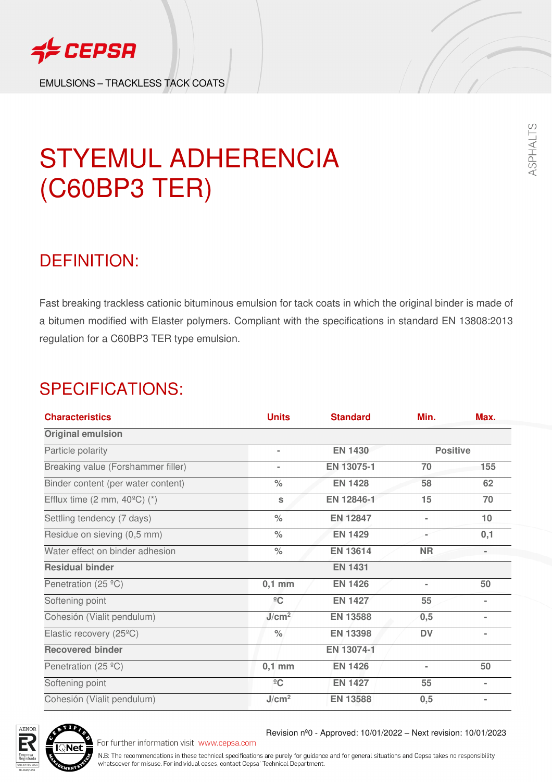

EMULSIONS – TRACKLESS TACK COATS



ASPHALTS

## STYEMUL ADHERENCIA (C60BP3 TER)

### DEFINITION:

Fast breaking trackless cationic bituminous emulsion for tack coats in which the original binder is made of a bitumen modified with Elaster polymers. Compliant with the specifications in standard EN 13808:2013 regulation for a C60BP3 TER type emulsion.

## SPECIFICATIONS:

| <b>Characteristics</b>                               | <b>Units</b>      | <b>Standard</b> | Min.            | Max.   |
|------------------------------------------------------|-------------------|-----------------|-----------------|--------|
| <b>Original emulsion</b>                             |                   |                 |                 |        |
| Particle polarity                                    | $\blacksquare$    | <b>EN 1430</b>  | <b>Positive</b> |        |
| Breaking value (Forshammer filler)                   | $\sim$            | EN 13075-1      | 70              | 155    |
| Binder content (per water content)                   | $\frac{1}{2}$     | <b>EN 1428</b>  | 58              | 62     |
| Efflux time $(2 \text{ mm}, 40^{\circ}\text{C})$ (*) | S                 | EN 12846-1      | 15              | 70     |
| Settling tendency (7 days)                           | $\frac{1}{2}$     | <b>EN 12847</b> |                 | 10     |
| Residue on sieving (0,5 mm)                          | $\%$              | <b>EN 1429</b>  |                 | 0,1    |
| Water effect on binder adhesion                      | $\frac{1}{2}$     | <b>EN 13614</b> | <b>NR</b>       |        |
| <b>Residual binder</b>                               |                   | <b>EN 1431</b>  |                 |        |
| Penetration (25 °C)                                  | $0,1$ mm          | <b>EN 1426</b>  |                 | 50     |
| Softening point                                      | $\overline{C}$    | <b>EN 1427</b>  | 55              | $\sim$ |
| Cohesión (Vialit pendulum)                           | J/cm <sup>2</sup> | <b>EN 13588</b> | 0,5             | $\sim$ |
| Elastic recovery (25°C)                              | $\frac{0}{0}$     | <b>EN 13398</b> | <b>DV</b>       |        |
| <b>Recovered binder</b>                              |                   | EN 13074-1      |                 |        |
| Penetration (25 °C)                                  | $0,1$ mm          | <b>EN 1426</b>  |                 | 50     |
| Softening point                                      | $\frac{1}{2}C$    | <b>EN 1427</b>  | 55              | $\sim$ |
| Cohesión (Vialit pendulum)                           | J/cm <sup>2</sup> | <b>EN 13588</b> | 0,5             | $\sim$ |



For further information visit www.cepsa.com

Revision nº0 - Approved: 10/01/2022 – Next revision: 10/01/2023